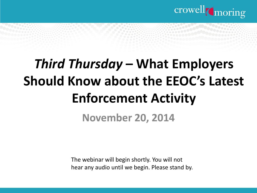

# *Third Thursday* **– What Employers Should Know about the EEOC's Latest Enforcement Activity**

#### **November 20, 2014**

The webinar will begin shortly. You will not hear any audio until we begin. Please stand by.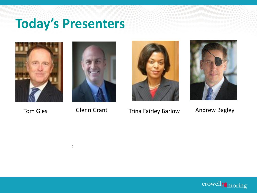## **Today's Presenters**







Tom Gies Glenn Grant Trina Fairley Barlow Andrew Bagley



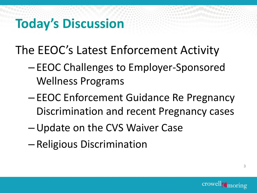## **Today's Discussion**

The EEOC's Latest Enforcement Activity

- EEOC Challenges to Employer-Sponsored Wellness Programs
- EEOC Enforcement Guidance Re Pregnancy Discrimination and recent Pregnancy cases
- –Update on the CVS Waiver Case
- Religious Discrimination



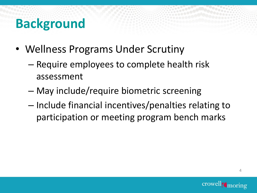# **Background**

- Wellness Programs Under Scrutiny
	- Require employees to complete health risk assessment
	- May include/require biometric screening
	- Include financial incentives/penalties relating to participation or meeting program bench marks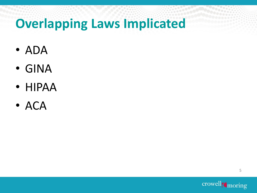# **Overlapping Laws Implicated**

- ADA
- GINA
- HIPAA
- ACA

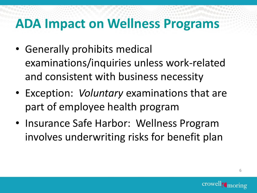### **ADA Impact on Wellness Programs**

- Generally prohibits medical examinations/inquiries unless work-related and consistent with business necessity
- Exception: *Voluntary* examinations that are part of employee health program
- Insurance Safe Harbor: Wellness Program involves underwriting risks for benefit plan

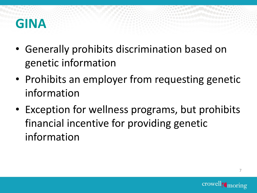### **GINA**

- Generally prohibits discrimination based on genetic information
- Prohibits an employer from requesting genetic information
- Exception for wellness programs, but prohibits financial incentive for providing genetic information

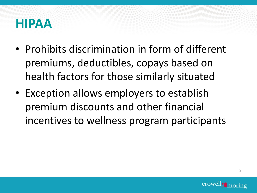### **HIPAA**

- Prohibits discrimination in form of different premiums, deductibles, copays based on health factors for those similarly situated
- Exception allows employers to establish premium discounts and other financial incentives to wellness program participants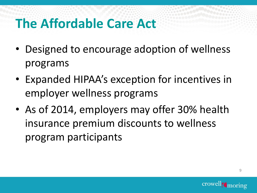## **The Affordable Care Act**

- Designed to encourage adoption of wellness programs
- Expanded HIPAA's exception for incentives in employer wellness programs
- As of 2014, employers may offer 30% health insurance premium discounts to wellness program participants

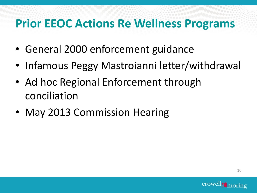### **Prior EEOC Actions Re Wellness Programs**

- General 2000 enforcement guidance
- Infamous Peggy Mastroianni letter/withdrawal
- Ad hoc Regional Enforcement through conciliation
- May 2013 Commission Hearing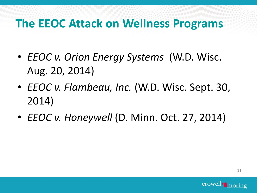#### **The EEOC Attack on Wellness Programs**

- *EEOC v. Orion Energy Systems* (W.D. Wisc. Aug. 20, 2014)
- *EEOC v. Flambeau, Inc.* (W.D. Wisc. Sept. 30, 2014)
- *EEOC v. Honeywell* (D. Minn. Oct. 27, 2014)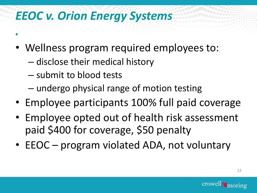### *EEOC v. Orion Energy Systems*

- Wellness program required employees to:
	- disclose their medical history
	- submit to blood tests

*.*

- undergo physical range of motion testing
- Employee participants 100% full paid coverage
- Employee opted out of health risk assessment paid \$400 for coverage, \$50 penalty
- EEOC program violated ADA, not voluntary

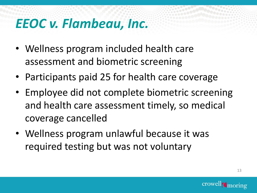## *EEOC v. Flambeau, Inc.*

- Wellness program included health care assessment and biometric screening
- Participants paid 25 for health care coverage
- Employee did not complete biometric screening and health care assessment timely, so medical coverage cancelled
- Wellness program unlawful because it was required testing but was not voluntary

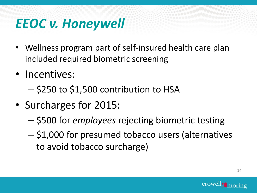# *EEOC v. Honeywell*

- Wellness program part of self-insured health care plan included required biometric screening
- Incentives:
	- \$250 to \$1,500 contribution to HSA
- Surcharges for 2015:
	- \$500 for *employees* rejecting biometric testing
	- \$1,000 for presumed tobacco users (alternatives to avoid tobacco surcharge)

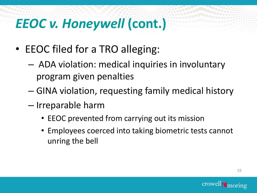## *EEOC v. Honeywell* **(cont.)**

- EEOC filed for a TRO alleging:
	- ADA violation: medical inquiries in involuntary program given penalties
	- GINA violation, requesting family medical history
	- Irreparable harm
		- EEOC prevented from carrying out its mission
		- Employees coerced into taking biometric tests cannot unring the bell

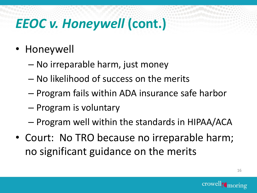# *EEOC v. Honeywell* **(cont.)**

- Honeywell
	- No irreparable harm, just money
	- No likelihood of success on the merits
	- Program fails within ADA insurance safe harbor
	- Program is voluntary
	- Program well within the standards in HIPAA/ACA
- Court: No TRO because no irreparable harm; no significant guidance on the merits

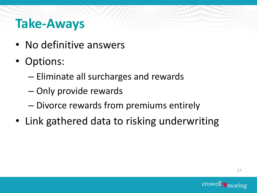# **Take-Aways**

- No definitive answers
- Options:
	- Eliminate all surcharges and rewards
	- Only provide rewards
	- Divorce rewards from premiums entirely
- Link gathered data to risking underwriting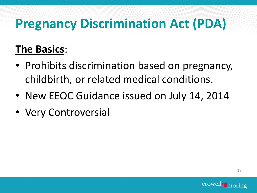# **Pregnancy Discrimination Act (PDA)**

#### **The Basics**:

- Prohibits discrimination based on pregnancy, childbirth, or related medical conditions.
- New EEOC Guidance issued on July 14, 2014
- Very Controversial

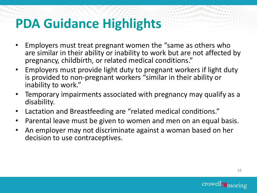## **PDA Guidance Highlights**

- Employers must treat pregnant women the "same as others who are similar in their ability or inability to work but are not affected by pregnancy, childbirth, or related medical conditions."
- Employers must provide light duty to pregnant workers if light duty is provided to non-pregnant workers "similar in their ability or inability to work."
- Temporary impairments associated with pregnancy may qualify as a disability.
- Lactation and Breastfeeding are "related medical conditions."
- Parental leave must be given to women and men on an equal basis.
- An employer may not discriminate against a woman based on her decision to use contraceptives.

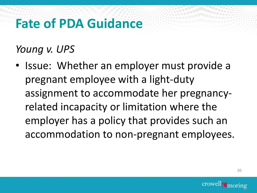## **Fate of PDA Guidance**

#### *Young v. UPS*

• Issue: Whether an employer must provide a pregnant employee with a light-duty assignment to accommodate her pregnancyrelated incapacity or limitation where the employer has a policy that provides such an accommodation to non-pregnant employees.

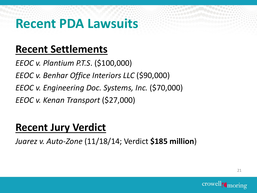## **Recent PDA Lawsuits**

#### **Recent Settlements**

*EEOC v. Plantium P.T.S*. (\$100,000) *EEOC v. Benhar Office Interiors LLC* (\$90,000) *EEOC v. Engineering Doc. Systems, Inc.* (\$70,000) *EEOC v. Kenan Transport* (\$27,000)

#### **Recent Jury Verdict**

*Juarez v. Auto-Zone* (11/18/14; Verdict **\$185 million**)

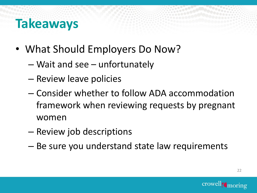## **Takeaways**

- What Should Employers Do Now?
	- Wait and see unfortunately
	- Review leave policies
	- Consider whether to follow ADA accommodation framework when reviewing requests by pregnant women
	- Review job descriptions
	- Be sure you understand state law requirements

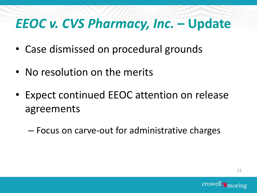## *EEOC v. CVS Pharmacy, Inc.* **– Update**

- Case dismissed on procedural grounds
- No resolution on the merits
- Expect continued EEOC attention on release agreements

– Focus on carve-out for administrative charges

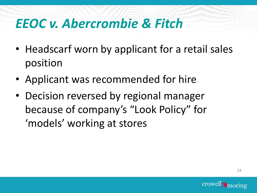- Headscarf worn by applicant for a retail sales position
- Applicant was recommended for hire
- Decision reversed by regional manager because of company's "Look Policy" for 'models' working at stores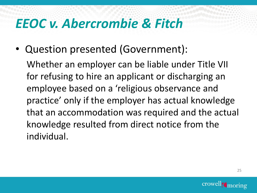• Question presented (Government):

Whether an employer can be liable under Title VII for refusing to hire an applicant or discharging an employee based on a 'religious observance and practice' only if the employer has actual knowledge that an accommodation was required and the actual knowledge resulted from direct notice from the individual.

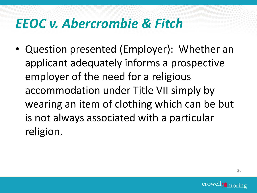• Question presented (Employer): Whether an applicant adequately informs a prospective employer of the need for a religious accommodation under Title VII simply by wearing an item of clothing which can be but is not always associated with a particular religion.

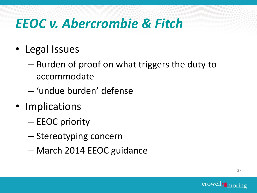- Legal Issues
	- Burden of proof on what triggers the duty to accommodate
	- 'undue burden' defense
- Implications
	- EEOC priority
	- Stereotyping concern
	- March 2014 EEOC guidance

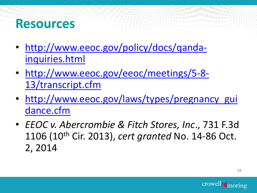### **Resources**

- [http://www.eeoc.gov/policy/docs/qanda](http://www.eeoc.gov/policy/docs/qanda-inquiries.html)[inquiries.html](http://www.eeoc.gov/policy/docs/qanda-inquiries.html)
- [http://www.eeoc.gov/eeoc/meetings/5-8-](http://www.eeoc.gov/eeoc/meetings/5-8-13/transcript.cfm) [13/transcript.cfm](http://www.eeoc.gov/eeoc/meetings/5-8-13/transcript.cfm)
- http://www.eeoc.gov/laws/types/pregnancy gui [dance.cfm](http://www.eeoc.gov/laws/types/pregnancy_guidance.cfm)
- *EEOC v. Abercrombie & Fitch Stores, Inc*., 731 F.3d 1106 (10th Cir. 2013), *cert granted* No. 14-86 Oct. 2, 2014